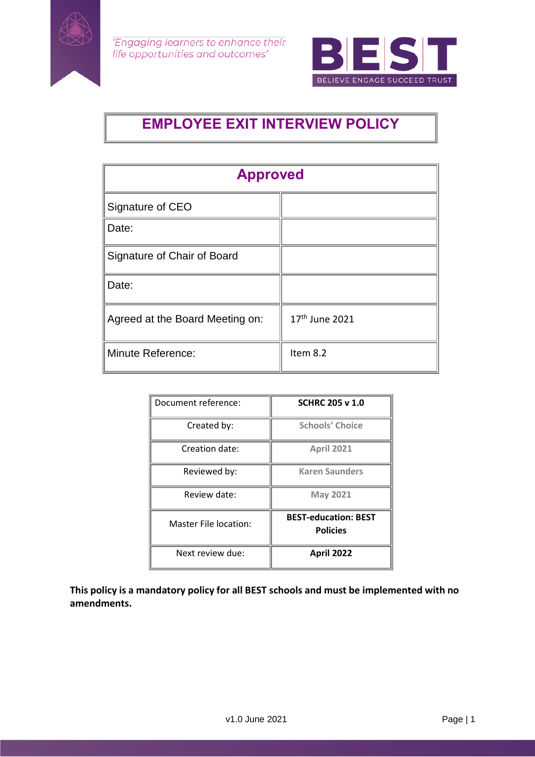



# **EMPLOYEE EXIT INTERVIEW POLICY**

| <b>Approved</b>                 |                            |  |
|---------------------------------|----------------------------|--|
| Signature of CEO                |                            |  |
| Date:                           |                            |  |
| Signature of Chair of Board     |                            |  |
| Date:                           |                            |  |
| Agreed at the Board Meeting on: | 17 <sup>th</sup> June 2021 |  |
| <b>Minute Reference:</b>        | Item 8.2                   |  |

| Document reference:   | <b>SCHRC 205 v 1.0</b>                         |
|-----------------------|------------------------------------------------|
| Created by:           | <b>Schools' Choice</b>                         |
| Creation date:        | <b>April 2021</b>                              |
| Reviewed by:          | <b>Karen Saunders</b>                          |
| Review date:          | <b>May 2021</b>                                |
| Master File location: | <b>BEST-education: BEST</b><br><b>Policies</b> |
| Next review due:      | <b>April 2022</b>                              |

**This policy is a mandatory policy for all BEST schools and must be implemented with no amendments.**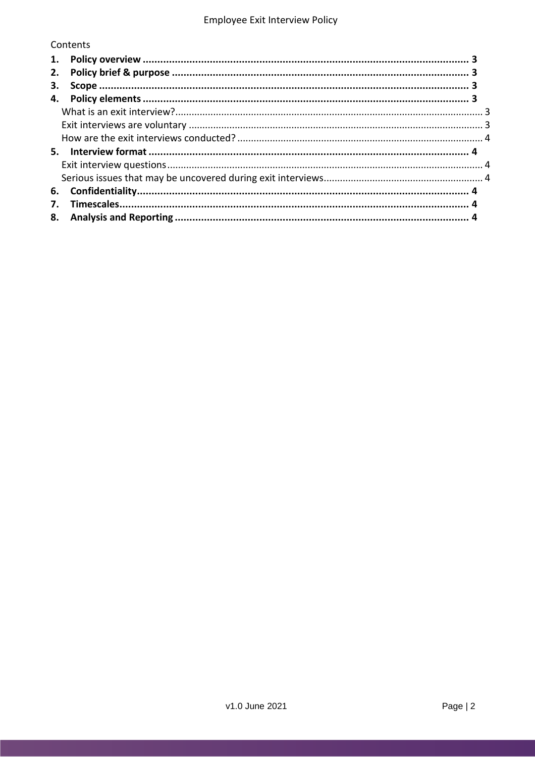## Contents

| 2. |  |  |
|----|--|--|
| З. |  |  |
|    |  |  |
|    |  |  |
|    |  |  |
|    |  |  |
|    |  |  |
|    |  |  |
|    |  |  |
| 6. |  |  |
| 7. |  |  |
|    |  |  |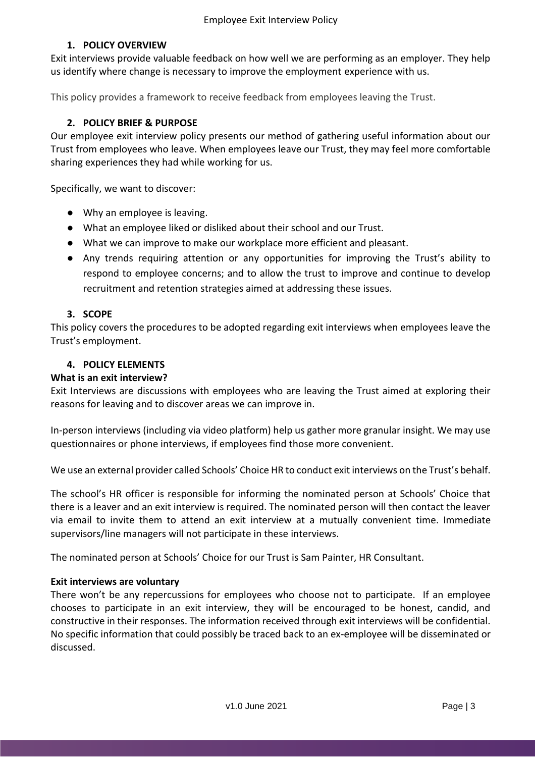#### **1. POLICY OVERVIEW**

<span id="page-2-0"></span>Exit interviews provide valuable feedback on how well we are performing as an employer. They help us identify where change is necessary to improve the employment experience with us.

This policy provides a framework to receive feedback from employees leaving the Trust.

## **2. POLICY BRIEF & PURPOSE**

<span id="page-2-1"></span>Our employee exit interview policy presents our method of gathering useful information about our Trust from employees who leave. When employees leave our Trust, they may feel more comfortable sharing experiences they had while working for us.

Specifically, we want to discover:

- Why an employee is leaving.
- What an employee liked or disliked about their school and our Trust.
- What we can improve to make our workplace more efficient and pleasant.
- Any trends requiring attention or any opportunities for improving the Trust's ability to respond to employee concerns; and to allow the trust to improve and continue to develop recruitment and retention strategies aimed at addressing these issues.

## <span id="page-2-2"></span>**3. SCOPE**

This policy covers the procedures to be adopted regarding exit interviews when employees leave the Trust's employment.

#### <span id="page-2-3"></span>**4. POLICY ELEMENTS**

#### <span id="page-2-4"></span>**What is an exit interview?**

Exit Interviews are discussions with employees who are leaving the Trust aimed at exploring their reasons for leaving and to discover areas we can improve in.

In-person interviews (including via video platform) help us gather more granular insight. We may use questionnaires or phone interviews, if employees find those more convenient.

We use an external provider called Schools' Choice HR to conduct exit interviews on the Trust's behalf.

The school's HR officer is responsible for informing the nominated person at Schools' Choice that there is a leaver and an exit interview is required. The nominated person will then contact the leaver via email to invite them to attend an exit interview at a mutually convenient time. Immediate supervisors/line managers will not participate in these interviews.

The nominated person at Schools' Choice for our Trust is Sam Painter, HR Consultant.

#### <span id="page-2-5"></span>**Exit interviews are voluntary**

There won't be any repercussions for employees who choose not to participate. If an employee chooses to participate in an exit interview, they will be encouraged to be honest, candid, and constructive in their responses. The information received through exit interviews will be confidential. No specific information that could possibly be traced back to an ex-employee will be disseminated or discussed.